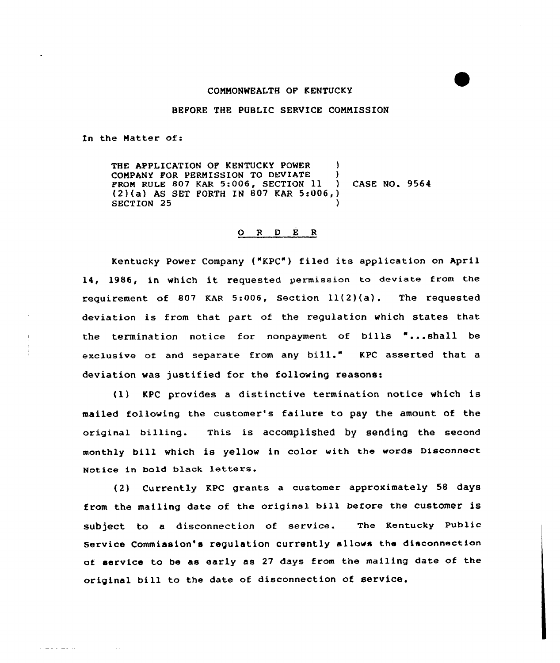## CONNONWEALTH OF KENTUCKY

## BEFORE THE PUBLIC SERVICE CONNISSION

In the Natter of:

المتحدث والمصادر

THE APPLICATION OF KENTUCKY POWER COMPANY FOR PERMISSION TO DEVIATE )<br>FROM RULE 807 KAR 5:006. SECTION 11 FROM RULE 807 KAR 5:006, SECTION 11 (2)(a) AS SET FORTH IN 807 KAR 5:006,} SECTION 25 CASE NO. 9564

## 0 <sup>R</sup> <sup>D</sup> <sup>E</sup> <sup>R</sup>

Kentucky Power Company ("KPC") filed its application on April 14, 1986, in which it requested permission to deviate from the requirement of S07 KAR 5:006, Section ll(2)(a). The requested deviation is from that part of the regulation which states that the termination notice for nonpayment of bills "...shall be exclusive of and separate from any bill." KPC asserted that <sup>a</sup> deviation was justified for the following reasons:

(1) KPC provides <sup>a</sup> distinctive termination notice which is mailed following the customer's failure to pay the amount of the original billing. This is accomplished by sending the second monthly bill which is yellow in color with the words Disconnect Notice in bold black

Currently KPC grants a customer approximately 58 days from the mailing date of the original bill before the customer is subject to a disconnection of service. The Kentucky Public Service Commission's regulation currently al lowe the disconnection of service to be as early as 27 days from the mailing date of the original bill to the date of disconnection of service,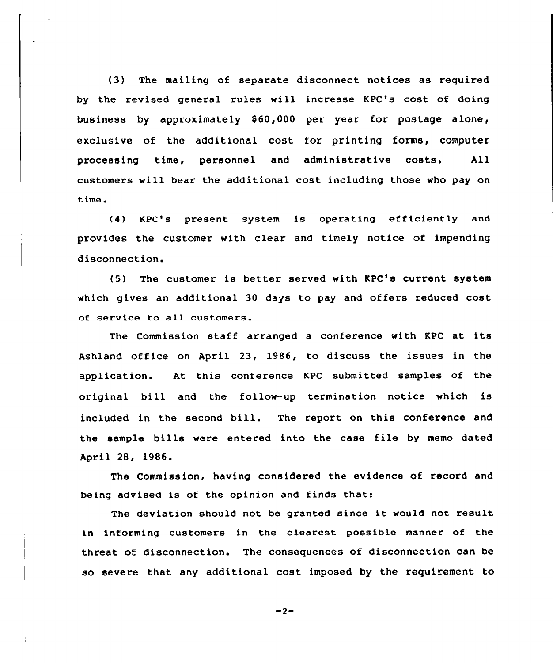(3) The mailing of separate disconnect notices as required by the revised general rules will increase KPC's cost of doing business by approximately \$60,000 per year for postage alone, exclusive of the additional cost for printing forms, computer processing time, personnel and administrative costs. All customers will bear the additional cost including those who pay on time.

(4) KPC's present system is operating efficiently and provides the customer with clear and timely notice of impending disconnection.

(5) The customer is better served with KPC's current system which gives an additional 30 days to pay and offers reduced cost of service to all customers.

The Commission staff arranged a conference with KPC at its Ashland office on April 23, 1986, to discuss the issues in the application. At this conference KPC submitted samples of the original bill and the follow-up termination notice which is included in the second bill. The report on this conference and the sample bills were entered into the case file by memo dated April 28, 1986.

The Commission, having considered the evidence of record and being advised is of the opinion and finds that:

The deviation should not be granted since it would not result in informing customers in the clearest possible manner of the threat of disconnection. The consequences of disconnection can be so severe that any additional cost imposed by the requirement to

 $-2-$